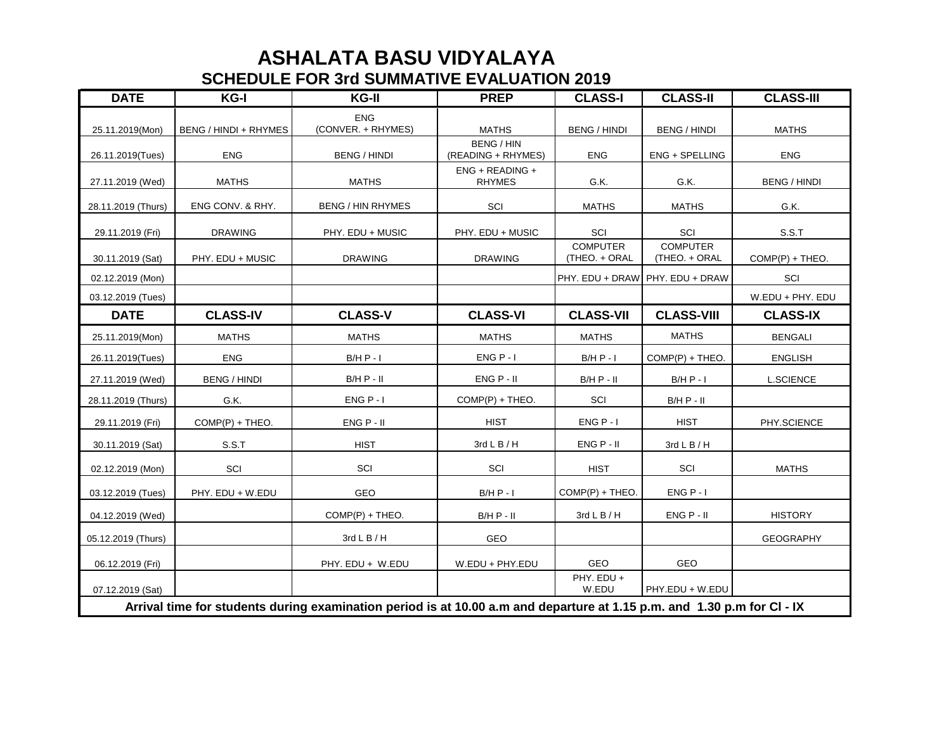## **SCHEDULE FOR 3rd SUMMATIVE EVALUATION 2019 ASHALATA BASU VIDYALAYA**

| <b>DATE</b>                                                                                                             | KG-I                  | KG-II                            | <b>PREP</b>                             | <b>CLASS-I</b>                   | <b>CLASS-II</b>                  | <b>CLASS-III</b>    |  |
|-------------------------------------------------------------------------------------------------------------------------|-----------------------|----------------------------------|-----------------------------------------|----------------------------------|----------------------------------|---------------------|--|
| 25.11.2019(Mon)                                                                                                         | BENG / HINDI + RHYMES | <b>ENG</b><br>(CONVER. + RHYMES) | <b>MATHS</b>                            | <b>BENG / HINDI</b>              | <b>BENG / HINDI</b>              | <b>MATHS</b>        |  |
| 26.11.2019(Tues)                                                                                                        | ENG                   | <b>BENG / HINDI</b>              | <b>BENG / HIN</b><br>(READING + RHYMES) | ENG                              | ENG + SPELLING                   | <b>ENG</b>          |  |
| 27.11.2019 (Wed)                                                                                                        | <b>MATHS</b>          | <b>MATHS</b>                     | ENG + READING +<br><b>RHYMES</b>        | G.K.                             | G.K.                             | <b>BENG / HINDI</b> |  |
| 28.11.2019 (Thurs)                                                                                                      | ENG CONV. & RHY.      | <b>BENG / HIN RHYMES</b>         | SCI                                     | <b>MATHS</b>                     | <b>MATHS</b>                     | G.K.                |  |
| 29.11.2019 (Fri)                                                                                                        | <b>DRAWING</b>        | PHY. EDU + MUSIC                 | PHY. EDU + MUSIC                        | SCI                              | SCI                              | S.S.T               |  |
| 30.11.2019 (Sat)                                                                                                        | PHY. EDU + MUSIC      | <b>DRAWING</b>                   | <b>DRAWING</b>                          | <b>COMPUTER</b><br>(THEO. + ORAL | <b>COMPUTER</b><br>(THEO. + ORAL | $COMP(P) + THEO.$   |  |
| 02.12.2019 (Mon)                                                                                                        |                       |                                  |                                         |                                  | PHY. EDU + DRAW PHY. EDU + DRAW  | SCI                 |  |
| 03.12.2019 (Tues)                                                                                                       |                       |                                  |                                         |                                  |                                  | W.EDU + PHY. EDU    |  |
| <b>DATE</b>                                                                                                             | <b>CLASS-IV</b>       | <b>CLASS-V</b>                   | <b>CLASS-VI</b>                         | <b>CLASS-VII</b>                 | <b>CLASS-VIII</b>                | <b>CLASS-IX</b>     |  |
| 25.11.2019(Mon)                                                                                                         | <b>MATHS</b>          | <b>MATHS</b>                     | <b>MATHS</b>                            | <b>MATHS</b>                     | <b>MATHS</b>                     | <b>BENGALI</b>      |  |
| 26.11.2019(Tues)                                                                                                        | <b>ENG</b>            | $B/H P - I$                      | $ENG P - I$                             | $B/H P - I$                      | $COMP(P) + THEO.$                | <b>ENGLISH</b>      |  |
| 27.11.2019 (Wed)                                                                                                        | <b>BENG / HINDI</b>   | $B/H P - II$                     | $ENG P - II$                            | $B/H P - II$                     | $B/H P - I$                      | <b>L.SCIENCE</b>    |  |
| 28.11.2019 (Thurs)                                                                                                      | G.K.                  | $ENG P - I$                      | $COMP(P) + THEO.$                       | SCI                              | $B/H P - II$                     |                     |  |
| 29.11.2019 (Fri)                                                                                                        | COMP(P) + THEO.       | $ENG P - II$                     | <b>HIST</b>                             | $ENG P - I$                      | <b>HIST</b>                      | PHY.SCIENCE         |  |
| 30.11.2019 (Sat)                                                                                                        | S.S.T                 | <b>HIST</b>                      | $3rd$ L B / H                           | $ENG P - II$                     | $3rdL$ B / H                     |                     |  |
| 02.12.2019 (Mon)                                                                                                        | SCI                   | SCI                              | SCI                                     | <b>HIST</b>                      | SCI                              | <b>MATHS</b>        |  |
| 03.12.2019 (Tues)                                                                                                       | PHY. EDU + W.EDU      | GEO                              | $B/H P - I$                             | $COMP(P) + THEO.$                | $ENG P - I$                      |                     |  |
| 04.12.2019 (Wed)                                                                                                        |                       | $COMP(P) + THEO.$                | $B/H P - II$                            | $3rdL$ B / H                     | $ENG P - II$                     | <b>HISTORY</b>      |  |
| 05.12.2019 (Thurs)                                                                                                      |                       | $3rd$ L B / H                    | GEO                                     |                                  |                                  | <b>GEOGRAPHY</b>    |  |
| 06.12.2019 (Fri)                                                                                                        |                       | PHY. EDU + W.EDU                 | W.EDU + PHY.EDU                         | GEO                              | GEO                              |                     |  |
| 07.12.2019 (Sat)                                                                                                        |                       |                                  |                                         | PHY. EDU +<br>W.EDU              | PHY.EDU + W.EDU                  |                     |  |
| Arrival time for students during examination period is at 10.00 a.m and departure at 1.15 p.m. and 1.30 p.m for CI - IX |                       |                                  |                                         |                                  |                                  |                     |  |